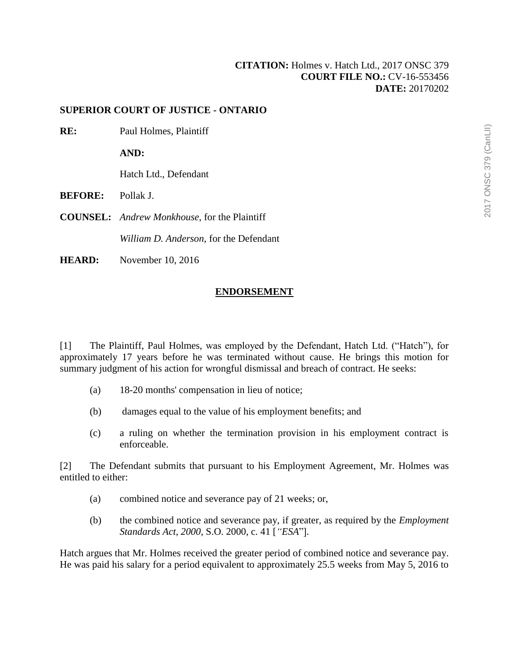## **[CITATION:](http://intra.judicialsecurity.jus.gov.on.ca/NeutralCitation/)** Holmes v. Hatch Ltd., 2017 ONSC 379 **COURT FILE NO.:** CV-16-553456 **DATE:** 20170202

## **SUPERIOR COURT OF JUSTICE - ONTARIO**

**RE:** Paul Holmes, Plaintiff

**AND:**

Hatch Ltd., Defendant

**BEFORE:** Pollak J.

**COUNSEL:** *Andrew Monkhouse*, for the Plaintiff

*William D. Anderson,* for the Defendant

**HEARD:** November 10, 2016

## **ENDORSEMENT**

[1] The Plaintiff, Paul Holmes, was employed by the Defendant, Hatch Ltd. ("Hatch"), for approximately 17 years before he was terminated without cause. He brings this motion for summary judgment of his action for wrongful dismissal and breach of contract. He seeks:

- (a) 18-20 months' compensation in lieu of notice;
- (b) damages equal to the value of his employment benefits; and
- (c) a ruling on whether the termination provision in his employment contract is enforceable.

[2] The Defendant submits that pursuant to his Employment Agreement, Mr. Holmes was entitled to either:

- (a) combined notice and severance pay of 21 weeks; or,
- (b) the combined notice and severance pay, if greater, as required by the *Employment Standards Act, 2000*, S.O. 2000, c. 41 [*"ESA*"]*.*

Hatch argues that Mr. Holmes received the greater period of combined notice and severance pay. He was paid his salary for a period equivalent to approximately 25.5 weeks from May 5, 2016 to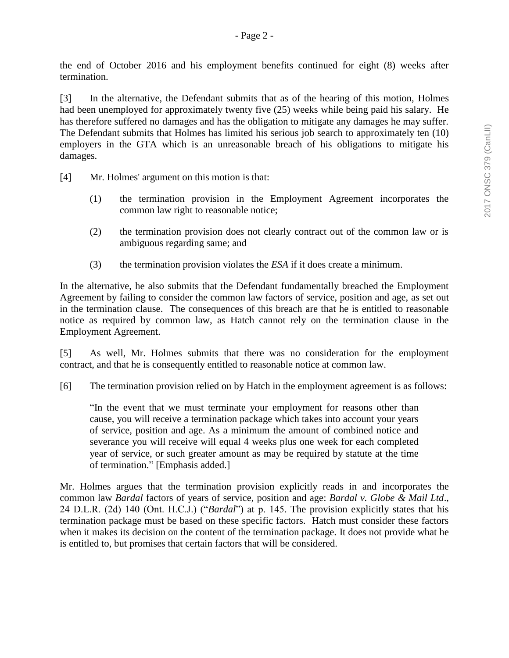the end of October 2016 and his employment benefits continued for eight (8) weeks after termination.

[3] In the alternative, the Defendant submits that as of the hearing of this motion, Holmes had been unemployed for approximately twenty five (25) weeks while being paid his salary. He has therefore suffered no damages and has the obligation to mitigate any damages he may suffer. The Defendant submits that Holmes has limited his serious job search to approximately ten (10) employers in the GTA which is an unreasonable breach of his obligations to mitigate his damages.

- [4] Mr. Holmes' argument on this motion is that:
	- (1) the termination provision in the Employment Agreement incorporates the common law right to reasonable notice;
	- (2) the termination provision does not clearly contract out of the common law or is ambiguous regarding same; and
	- (3) the termination provision violates the *ESA* if it does create a minimum.

In the alternative, he also submits that the Defendant fundamentally breached the Employment Agreement by failing to consider the common law factors of service, position and age, as set out in the termination clause. The consequences of this breach are that he is entitled to reasonable notice as required by common law, as Hatch cannot rely on the termination clause in the Employment Agreement.

[5] As well, Mr. Holmes submits that there was no consideration for the employment contract, and that he is consequently entitled to reasonable notice at common law.

[6] The termination provision relied on by Hatch in the employment agreement is as follows:

"In the event that we must terminate your employment for reasons other than cause, you will receive a termination package which takes into account your years of service, position and age. As a minimum the amount of combined notice and severance you will receive will equal 4 weeks plus one week for each completed year of service, or such greater amount as may be required by statute at the time of termination." [Emphasis added.]

Mr. Holmes argues that the termination provision explicitly reads in and incorporates the common law *Bardal* factors of years of service, position and age: *Bardal v. Globe & Mail Ltd*., 24 D.L.R. (2d) 140 (Ont. H.C.J.) ("*Bardal*") at p. 145. The provision explicitly states that his termination package must be based on these specific factors. Hatch must consider these factors when it makes its decision on the content of the termination package. It does not provide what he is entitled to, but promises that certain factors that will be considered.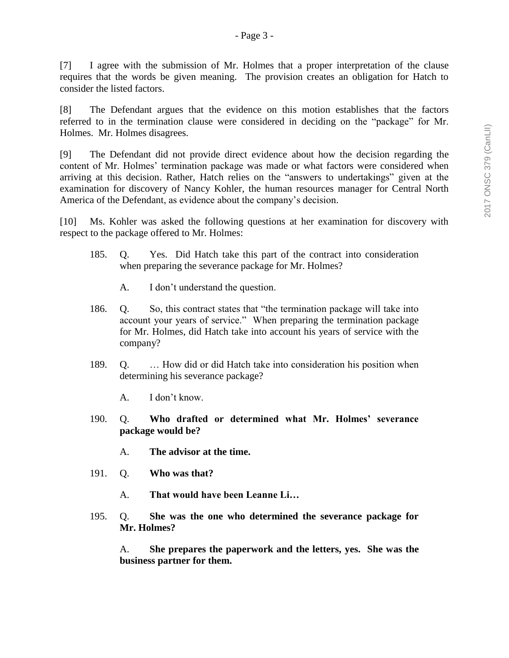[7] I agree with the submission of Mr. Holmes that a proper interpretation of the clause requires that the words be given meaning. The provision creates an obligation for Hatch to consider the listed factors.

[8] The Defendant argues that the evidence on this motion establishes that the factors referred to in the termination clause were considered in deciding on the "package" for Mr. Holmes. Mr. Holmes disagrees.

[9] The Defendant did not provide direct evidence about how the decision regarding the content of Mr. Holmes' termination package was made or what factors were considered when arriving at this decision. Rather, Hatch relies on the "answers to undertakings" given at the examination for discovery of Nancy Kohler, the human resources manager for Central North America of the Defendant, as evidence about the company's decision.

[10] Ms. Kohler was asked the following questions at her examination for discovery with respect to the package offered to Mr. Holmes:

- 185. Q. Yes. Did Hatch take this part of the contract into consideration when preparing the severance package for Mr. Holmes?
	- A. I don't understand the question.
- 186. Q. So, this contract states that "the termination package will take into account your years of service." When preparing the termination package for Mr. Holmes, did Hatch take into account his years of service with the company?
- 189. Q. … How did or did Hatch take into consideration his position when determining his severance package?
	- A. I don't know.
- 190. Q. **Who drafted or determined what Mr. Holmes' severance package would be?**
	- A. **The advisor at the time.**
- 191. Q. **Who was that?**
	- A. **That would have been Leanne Li…**
- 195. Q. **She was the one who determined the severance package for Mr. Holmes?**

A. **She prepares the paperwork and the letters, yes. She was the business partner for them.**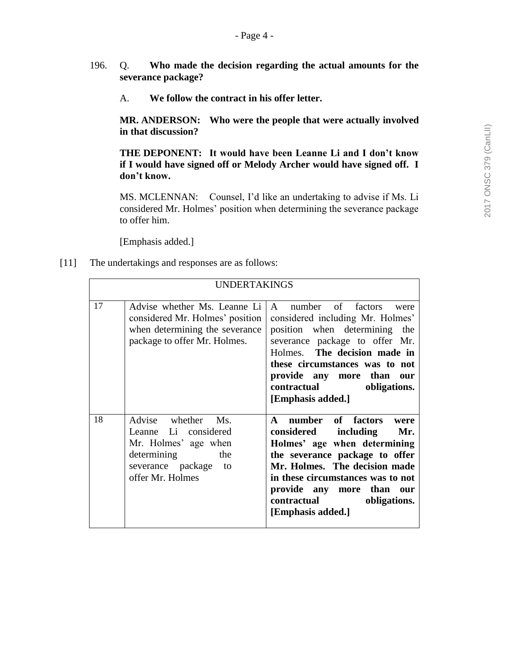- 196. Q. **Who made the decision regarding the actual amounts for the severance package?**
	- A. **We follow the contract in his offer letter.**

**MR. ANDERSON: Who were the people that were actually involved in that discussion?**

**THE DEPONENT: It would have been Leanne Li and I don't know if I would have signed off or Melody Archer would have signed off. I don't know.**

MS. MCLENNAN: Counsel, I'd like an undertaking to advise if Ms. Li considered Mr. Holmes' position when determining the severance package to offer him.

[Emphasis added.]

[11] The undertakings and responses are as follows:

| <b>UNDERTAKINGS</b> |                                                                                                                                            |                                                                                                                                                                                                                                                                                                                |  |  |  |  |
|---------------------|--------------------------------------------------------------------------------------------------------------------------------------------|----------------------------------------------------------------------------------------------------------------------------------------------------------------------------------------------------------------------------------------------------------------------------------------------------------------|--|--|--|--|
| 17                  | Advise whether Ms. Leanne Li<br>considered Mr. Holmes' position<br>when determining the severance<br>package to offer Mr. Holmes.          | A number of factors<br>were<br>considered including Mr. Holmes'<br>position when determining<br>the<br>severance package to offer Mr.<br>Holmes. The decision made in<br>these circumstances was to not<br>provide any more than<br>our<br><b>contractual</b><br>obligations.<br>[Emphasis added.]             |  |  |  |  |
| 18                  | Advise whether<br>$Ms$ .<br>Leanne Li considered<br>Mr. Holmes' age when<br>determining<br>the<br>severance package to<br>offer Mr. Holmes | number of factors<br>$\mathbf{A}$<br>were<br>including<br>considered<br>Mr.<br>Holmes' age when determining<br>the severance package to offer<br>Mr. Holmes. The decision made<br>in these circumstances was to not<br>provide any more than<br>our<br><b>contractual</b><br>obligations.<br>[Emphasis added.] |  |  |  |  |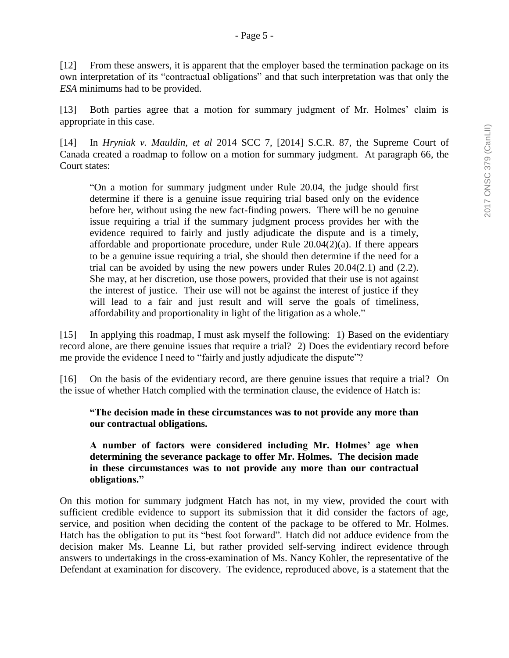[12] From these answers, it is apparent that the employer based the termination package on its own interpretation of its "contractual obligations" and that such interpretation was that only the *ESA* minimums had to be provided.

[13] Both parties agree that a motion for summary judgment of Mr. Holmes' claim is appropriate in this case.

[14] In *Hryniak v. Mauldin, et al* 2014 SCC 7, [2014] S.C.R. 87, the Supreme Court of Canada created a roadmap to follow on a motion for summary judgment. At paragraph 66, the Court states:

"On a motion for summary judgment under Rule 20.04, the judge should first determine if there is a genuine issue requiring trial based only on the evidence before her, without using the new fact-finding powers. There will be no genuine issue requiring a trial if the summary judgment process provides her with the evidence required to fairly and justly adjudicate the dispute and is a timely, affordable and proportionate procedure, under Rule 20.04(2)(a). If there appears to be a genuine issue requiring a trial, she should then determine if the need for a trial can be avoided by using the new powers under Rules 20.04(2.1) and (2.2). She may, at her discretion, use those powers, provided that their use is not against the interest of justice. Their use will not be against the interest of justice if they will lead to a fair and just result and will serve the goals of timeliness, affordability and proportionality in light of the litigation as a whole."

[15] In applying this roadmap, I must ask myself the following: 1) Based on the evidentiary record alone, are there genuine issues that require a trial? 2) Does the evidentiary record before me provide the evidence I need to "fairly and justly adjudicate the dispute"?

[16] On the basis of the evidentiary record, are there genuine issues that require a trial? On the issue of whether Hatch complied with the termination clause, the evidence of Hatch is:

**"The decision made in these circumstances was to not provide any more than our contractual obligations.**

**A number of factors were considered including Mr. Holmes' age when determining the severance package to offer Mr. Holmes. The decision made in these circumstances was to not provide any more than our contractual obligations."**

On this motion for summary judgment Hatch has not, in my view, provided the court with sufficient credible evidence to support its submission that it did consider the factors of age, service, and position when deciding the content of the package to be offered to Mr. Holmes. Hatch has the obligation to put its "best foot forward". Hatch did not adduce evidence from the decision maker Ms. Leanne Li, but rather provided self-serving indirect evidence through answers to undertakings in the cross-examination of Ms. Nancy Kohler, the representative of the Defendant at examination for discovery. The evidence, reproduced above, is a statement that the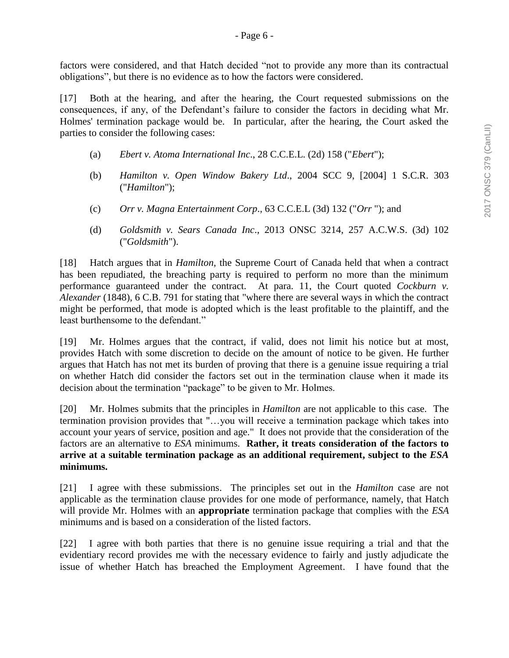factors were considered, and that Hatch decided "not to provide any more than its contractual obligations", but there is no evidence as to how the factors were considered.

[17] Both at the hearing, and after the hearing, the Court requested submissions on the consequences, if any, of the Defendant's failure to consider the factors in deciding what Mr. Holmes' termination package would be. In particular, after the hearing, the Court asked the parties to consider the following cases:

- (a) *Ebert v. Atoma International Inc*., 28 C.C.E.L. (2d) 158 ("*Ebert*");
- (b) *Hamilton v. Open Window Bakery Ltd*., 2004 SCC 9, [2004] 1 S.C.R. 303 ("*Hamilton*");
- (c) *Orr v. Magna Entertainment Corp*., 63 C.C.E.L (3d) 132 ("*Orr* "); and
- (d) *Goldsmith v. Sears Canada Inc*., 2013 ONSC 3214, 257 A.C.W.S. (3d) 102 ("*Goldsmith*").

[18] Hatch argues that in *Hamilton,* the Supreme Court of Canada held that when a contract has been repudiated, the breaching party is required to perform no more than the minimum performance guaranteed under the contract. At para. 11, the Court quoted *Cockburn v. Alexander* (1848), 6 C.B. 791 for stating that "where there are several ways in which the contract might be performed, that mode is adopted which is the least profitable to the plaintiff, and the least burthensome to the defendant."

[19] Mr. Holmes argues that the contract, if valid, does not limit his notice but at most, provides Hatch with some discretion to decide on the amount of notice to be given. He further argues that Hatch has not met its burden of proving that there is a genuine issue requiring a trial on whether Hatch did consider the factors set out in the termination clause when it made its decision about the termination "package" to be given to Mr. Holmes.

[20] Mr. Holmes submits that the principles in *Hamilton* are not applicable to this case. The termination provision provides that "…you will receive a termination package which takes into account your years of service, position and age." It does not provide that the consideration of the factors are an alternative to *ESA* minimums. **Rather, it treats consideration of the factors to arrive at a suitable termination package as an additional requirement, subject to the** *ESA* **minimums.**

[21] I agree with these submissions. The principles set out in the *Hamilton* case are not applicable as the termination clause provides for one mode of performance, namely, that Hatch will provide Mr. Holmes with an **appropriate** termination package that complies with the *ESA*  minimums and is based on a consideration of the listed factors.

[22] I agree with both parties that there is no genuine issue requiring a trial and that the evidentiary record provides me with the necessary evidence to fairly and justly adjudicate the issue of whether Hatch has breached the Employment Agreement. I have found that the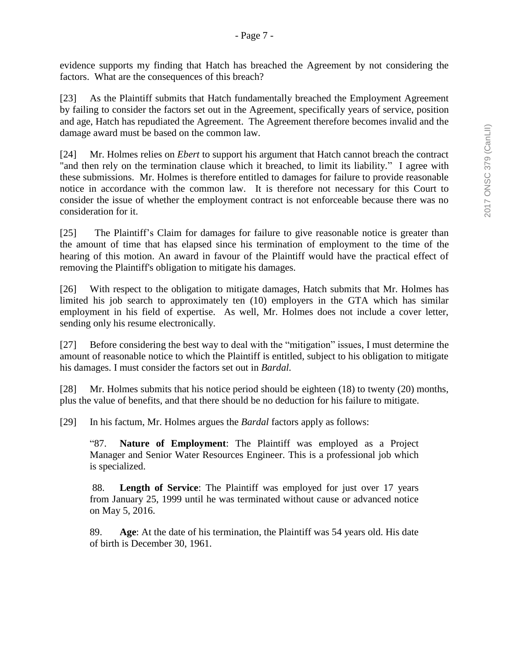evidence supports my finding that Hatch has breached the Agreement by not considering the factors. What are the consequences of this breach?

[23] As the Plaintiff submits that Hatch fundamentally breached the Employment Agreement by failing to consider the factors set out in the Agreement, specifically years of service, position and age, Hatch has repudiated the Agreement. The Agreement therefore becomes invalid and the damage award must be based on the common law.

[24] Mr. Holmes relies on *Ebert* to support his argument that Hatch cannot breach the contract "and then rely on the termination clause which it breached, to limit its liability." I agree with these submissions. Mr. Holmes is therefore entitled to damages for failure to provide reasonable notice in accordance with the common law. It is therefore not necessary for this Court to consider the issue of whether the employment contract is not enforceable because there was no consideration for it.

[25] The Plaintiff's Claim for damages for failure to give reasonable notice is greater than the amount of time that has elapsed since his termination of employment to the time of the hearing of this motion. An award in favour of the Plaintiff would have the practical effect of removing the Plaintiff's obligation to mitigate his damages.

[26] With respect to the obligation to mitigate damages, Hatch submits that Mr. Holmes has limited his job search to approximately ten (10) employers in the GTA which has similar employment in his field of expertise. As well, Mr. Holmes does not include a cover letter, sending only his resume electronically.

[27] Before considering the best way to deal with the "mitigation" issues, I must determine the amount of reasonable notice to which the Plaintiff is entitled, subject to his obligation to mitigate his damages. I must consider the factors set out in *Bardal.*

[28] Mr. Holmes submits that his notice period should be eighteen (18) to twenty (20) months, plus the value of benefits, and that there should be no deduction for his failure to mitigate.

[29] In his factum, Mr. Holmes argues the *Bardal* factors apply as follows:

"87. **Nature of Employment**: The Plaintiff was employed as a Project Manager and Senior Water Resources Engineer. This is a professional job which is specialized.

88. **Length of Service**: The Plaintiff was employed for just over 17 years from January 25, 1999 until he was terminated without cause or advanced notice on May 5, 2016.

89. **Age**: At the date of his termination, the Plaintiff was 54 years old. His date of birth is December 30, 1961.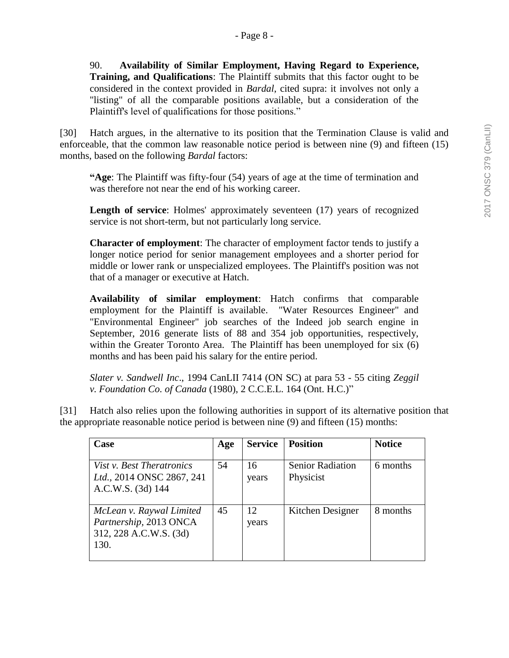90. **Availability of Similar Employment, Having Regard to Experience, Training, and Qualifications**: The Plaintiff submits that this factor ought to be considered in the context provided in *Bardal*, cited supra: it involves not only a "listing" of all the comparable positions available, but a consideration of the Plaintiff's level of qualifications for those positions."

[30] Hatch argues, in the alternative to its position that the Termination Clause is valid and enforceable, that the common law reasonable notice period is between nine (9) and fifteen (15) months, based on the following *Bardal* factors:

**"Age**: The Plaintiff was fifty-four (54) years of age at the time of termination and was therefore not near the end of his working career.

**Length of service**: Holmes' approximately seventeen (17) years of recognized service is not short-term, but not particularly long service.

**Character of employment**: The character of employment factor tends to justify a longer notice period for senior management employees and a shorter period for middle or lower rank or unspecialized employees. The Plaintiff's position was not that of a manager or executive at Hatch.

**Availability of similar employment**: Hatch confirms that comparable employment for the Plaintiff is available. "Water Resources Engineer" and "Environmental Engineer" job searches of the Indeed job search engine in September, 2016 generate lists of 88 and 354 job opportunities, respectively, within the Greater Toronto Area. The Plaintiff has been unemployed for six (6) months and has been paid his salary for the entire period.

*Slater v. Sandwell Inc*., 1994 CanLII 7414 (ON SC) at para 53 - 55 citing *Zeggil v. Foundation Co. of Canada* (1980), 2 C.C.E.L. 164 (Ont. H.C.)"

| $\left[31\right]$ | Hatch also relies upon the following authorities in support of its alternative position that |
|-------------------|----------------------------------------------------------------------------------------------|
|                   | the appropriate reasonable notice period is between nine (9) and fifteen (15) months:        |

| <b>Case</b>                                                                          | Age | <b>Service</b> | <b>Position</b>                      | <b>Notice</b> |
|--------------------------------------------------------------------------------------|-----|----------------|--------------------------------------|---------------|
| Vist <i>v. Best Theratronics</i><br>Ltd., 2014 ONSC 2867, 241<br>A.C.W.S. (3d) 144   | 54  | 16<br>years    | <b>Senior Radiation</b><br>Physicist | 6 months      |
| McLean v. Raywal Limited<br>Partnership, 2013 ONCA<br>312, 228 A.C.W.S. (3d)<br>130. | 45  | 12<br>years    | Kitchen Designer                     | 8 months      |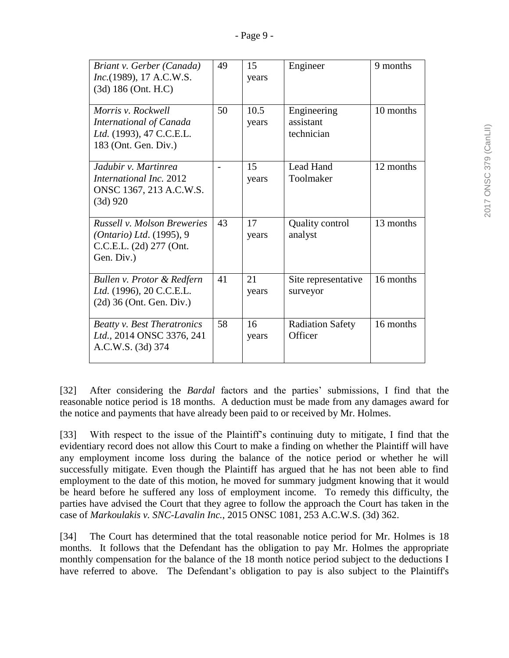| Briant v. Gerber (Canada)<br>Inc.(1989), 17 A.C.W.S.<br>$(3d)$ 186 (Ont. H.C)                                     | 49             | 15<br>years   | Engineer                               | 9 months  |
|-------------------------------------------------------------------------------------------------------------------|----------------|---------------|----------------------------------------|-----------|
| Morris v. Rockwell<br>International of Canada<br>Ltd. (1993), 47 C.C.E.L.<br>183 (Ont. Gen. Div.)                 | 50             | 10.5<br>years | Engineering<br>assistant<br>technician | 10 months |
| Jadubir v. Martinrea<br><i>International Inc.</i> 2012<br>ONSC 1367, 213 A.C.W.S.<br>$(3d)$ 920                   | $\overline{a}$ | 15<br>years   | Lead Hand<br>Toolmaker                 | 12 months |
| <b>Russell v. Molson Breweries</b><br><i>(Ontario)</i> Ltd. $(1995)$ , 9<br>C.C.E.L. (2d) 277 (Ont.<br>Gen. Div.) | 43             | 17<br>years   | <b>Quality control</b><br>analyst      | 13 months |
| Bullen v. Protor & Redfern<br>Ltd. (1996), 20 C.C.E.L.<br>$(2d)$ 36 (Ont. Gen. Div.)                              | 41             | 21<br>years   | Site representative<br>surveyor        | 16 months |
| <b>Beatty v. Best Theratronics</b><br>Ltd., 2014 ONSC 3376, 241<br>A.C.W.S. (3d) 374                              | 58             | 16<br>years   | <b>Radiation Safety</b><br>Officer     | 16 months |

[32] After considering the *Bardal* factors and the parties' submissions, I find that the reasonable notice period is 18 months. A deduction must be made from any damages award for the notice and payments that have already been paid to or received by Mr. Holmes.

[33] With respect to the issue of the Plaintiff's continuing duty to mitigate, I find that the evidentiary record does not allow this Court to make a finding on whether the Plaintiff will have any employment income loss during the balance of the notice period or whether he will successfully mitigate. Even though the Plaintiff has argued that he has not been able to find employment to the date of this motion, he moved for summary judgment knowing that it would be heard before he suffered any loss of employment income. To remedy this difficulty, the parties have advised the Court that they agree to follow the approach the Court has taken in the case of *Markoulakis v. SNC-Lavalin Inc.*, 2015 ONSC 1081, 253 A.C.W.S. (3d) 362.

[34] The Court has determined that the total reasonable notice period for Mr. Holmes is 18 months. It follows that the Defendant has the obligation to pay Mr. Holmes the appropriate monthly compensation for the balance of the 18 month notice period subject to the deductions I have referred to above. The Defendant's obligation to pay is also subject to the Plaintiff's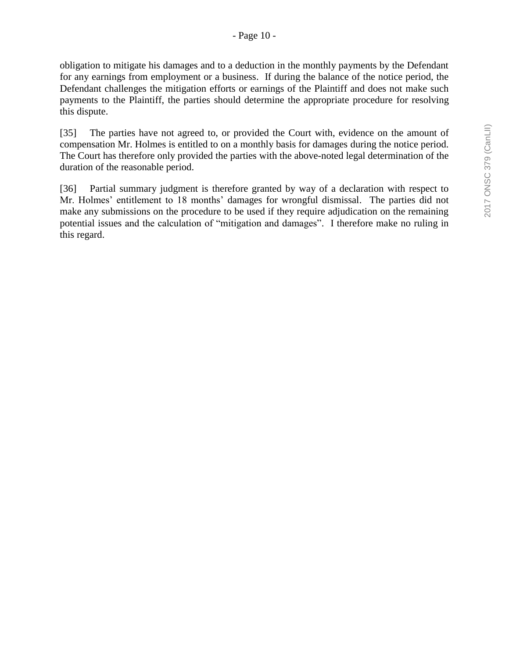obligation to mitigate his damages and to a deduction in the monthly payments by the Defendant for any earnings from employment or a business. If during the balance of the notice period, the Defendant challenges the mitigation efforts or earnings of the Plaintiff and does not make such payments to the Plaintiff, the parties should determine the appropriate procedure for resolving this dispute.

[35] The parties have not agreed to, or provided the Court with, evidence on the amount of compensation Mr. Holmes is entitled to on a monthly basis for damages during the notice period. The Court has therefore only provided the parties with the above-noted legal determination of the duration of the reasonable period.

[36] Partial summary judgment is therefore granted by way of a declaration with respect to Mr. Holmes' entitlement to 18 months' damages for wrongful dismissal. The parties did not make any submissions on the procedure to be used if they require adjudication on the remaining potential issues and the calculation of "mitigation and damages". I therefore make no ruling in this regard.